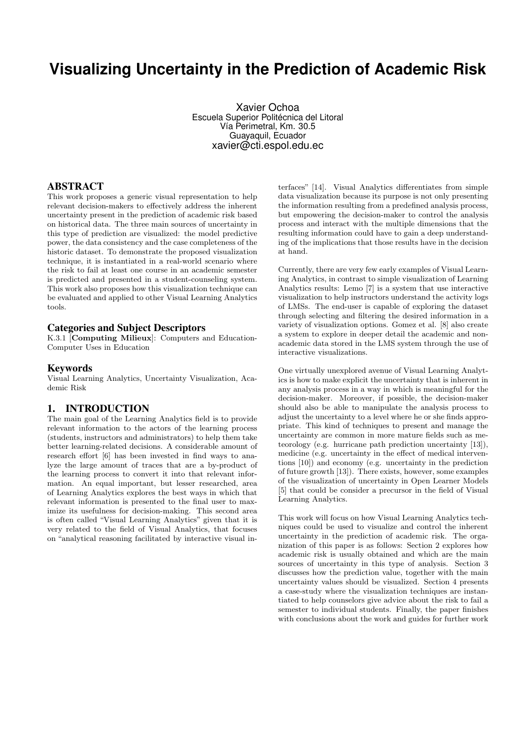# **Visualizing Uncertainty in the Prediction of Academic Risk**

Xavier Ochoa Escuela Superior Politécnica del Litoral Vía Perimetral, Km. 30.5 Guayaquil, Ecuador xavier@cti.espol.edu.ec

# ABSTRACT

This work proposes a generic visual representation to help relevant decision-makers to effectively address the inherent uncertainty present in the prediction of academic risk based on historical data. The three main sources of uncertainty in this type of prediction are visualized: the model predictive power, the data consistency and the case completeness of the historic dataset. To demonstrate the proposed visualization technique, it is instantiated in a real-world scenario where the risk to fail at least one course in an academic semester is predicted and presented in a student-counseling system. This work also proposes how this visualization technique can be evaluated and applied to other Visual Learning Analytics tools.

### Categories and Subject Descriptors

K.3.1 [Computing Milieux]: Computers and Education-Computer Uses in Education

#### Keywords

Visual Learning Analytics, Uncertainty Visualization, Academic Risk

### 1. INTRODUCTION

The main goal of the Learning Analytics field is to provide relevant information to the actors of the learning process (students, instructors and administrators) to help them take better learning-related decisions. A considerable amount of research effort [6] has been invested in find ways to analyze the large amount of traces that are a by-product of the learning process to convert it into that relevant information. An equal important, but lesser researched, area of Learning Analytics explores the best ways in which that relevant information is presented to the final user to maximize its usefulness for decision-making. This second area is often called "Visual Learning Analytics" given that it is very related to the field of Visual Analytics, that focuses on "analytical reasoning facilitated by interactive visual in-

terfaces" [14]. Visual Analytics differentiates from simple data visualization because its purpose is not only presenting the information resulting from a predefined analysis process, but empowering the decision-maker to control the analysis process and interact with the multiple dimensions that the resulting information could have to gain a deep understanding of the implications that those results have in the decision at hand.

Currently, there are very few early examples of Visual Learning Analytics, in contrast to simple visualization of Learning Analytics results: Lemo [7] is a system that use interactive visualization to help instructors understand the activity logs of LMSs. The end-user is capable of exploring the dataset through selecting and filtering the desired information in a variety of visualization options. Gomez et al. [8] also create a system to explore in deeper detail the academic and nonacademic data stored in the LMS system through the use of interactive visualizations.

One virtually unexplored avenue of Visual Learning Analytics is how to make explicit the uncertainty that is inherent in any analysis process in a way in which is meaningful for the decision-maker. Moreover, if possible, the decision-maker should also be able to manipulate the analysis process to adjust the uncertainty to a level where he or she finds appropriate. This kind of techniques to present and manage the uncertainty are common in more mature fields such as meteorology (e.g. hurricane path prediction uncertainty [13]), medicine (e.g. uncertainty in the effect of medical interventions [10]) and economy (e.g. uncertainty in the prediction of future growth [13]). There exists, however, some examples of the visualization of uncertainty in Open Learner Models [5] that could be consider a precursor in the field of Visual Learning Analytics.

This work will focus on how Visual Learning Analytics techniques could be used to visualize and control the inherent uncertainty in the prediction of academic risk. The organization of this paper is as follows: Section 2 explores how academic risk is usually obtained and which are the main sources of uncertainty in this type of analysis. Section 3 discusses how the prediction value, together with the main uncertainty values should be visualized. Section 4 presents a case-study where the visualization techniques are instantiated to help counselors give advice about the risk to fail a semester to individual students. Finally, the paper finishes with conclusions about the work and guides for further work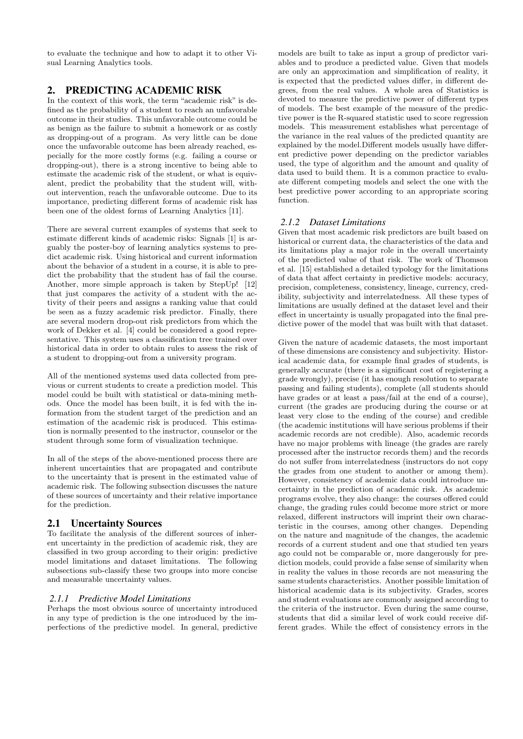to evaluate the technique and how to adapt it to other Visual Learning Analytics tools.

# 2. PREDICTING ACADEMIC RISK

In the context of this work, the term "academic risk" is defined as the probability of a student to reach an unfavorable outcome in their studies. This unfavorable outcome could be as benign as the failure to submit a homework or as costly as dropping-out of a program. As very little can be done once the unfavorable outcome has been already reached, especially for the more costly forms (e.g. failing a course or dropping-out), there is a strong incentive to being able to estimate the academic risk of the student, or what is equivalent, predict the probability that the student will, without intervention, reach the unfavorable outcome. Due to its importance, predicting different forms of academic risk has been one of the oldest forms of Learning Analytics [11].

There are several current examples of systems that seek to estimate different kinds of academic risks: Signals [1] is arguably the poster-boy of learning analytics systems to predict academic risk. Using historical and current information about the behavior of a student in a course, it is able to predict the probability that the student has of fail the course. Another, more simple approach is taken by StepUp! [12] that just compares the activity of a student with the activity of their peers and assigns a ranking value that could be seen as a fuzzy academic risk predictor. Finally, there are several modern drop-out risk predictors from which the work of Dekker et al. [4] could be considered a good representative. This system uses a classification tree trained over historical data in order to obtain rules to assess the risk of a student to dropping-out from a university program.

All of the mentioned systems used data collected from previous or current students to create a prediction model. This model could be built with statistical or data-mining methods. Once the model has been built, it is fed with the information from the student target of the prediction and an estimation of the academic risk is produced. This estimation is normally presented to the instructor, counselor or the student through some form of visualization technique.

In all of the steps of the above-mentioned process there are inherent uncertainties that are propagated and contribute to the uncertainty that is present in the estimated value of academic risk. The following subsection discusses the nature of these sources of uncertainty and their relative importance for the prediction.

# 2.1 Uncertainty Sources

To facilitate the analysis of the different sources of inherent uncertainty in the prediction of academic risk, they are classified in two group according to their origin: predictive model limitations and dataset limitations. The following subsections sub-classify these two groups into more concise and measurable uncertainty values.

# *2.1.1 Predictive Model Limitations*

Perhaps the most obvious source of uncertainty introduced in any type of prediction is the one introduced by the imperfections of the predictive model. In general, predictive

models are built to take as input a group of predictor variables and to produce a predicted value. Given that models are only an approximation and simplification of reality, it is expected that the predicted values differ, in different degrees, from the real values. A whole area of Statistics is devoted to measure the predictive power of different types of models. The best example of the measure of the predictive power is the R-squared statistic used to score regression models. This measurement establishes what percentage of the variance in the real values of the predicted quantity are explained by the model.Different models usually have different predictive power depending on the predictor variables used, the type of algorithm and the amount and quality of data used to build them. It is a common practice to evaluate different competing models and select the one with the best predictive power according to an appropriate scoring function.

# *2.1.2 Dataset Limitations*

Given that most academic risk predictors are built based on historical or current data, the characteristics of the data and its limitations play a major role in the overall uncertainty of the predicted value of that risk. The work of Thomson et al. [15] established a detailed typology for the limitations of data that affect certainty in predictive models: accuracy, precision, completeness, consistency, lineage, currency, credibility, subjectivity and interrelatedness. All these types of limitations are usually defined at the dataset level and their effect in uncertainty is usually propagated into the final predictive power of the model that was built with that dataset.

Given the nature of academic datasets, the most important of these dimensions are consistency and subjectivity. Historical academic data, for example final grades of students, is generally accurate (there is a significant cost of registering a grade wrongly), precise (it has enough resolution to separate passing and failing students), complete (all students should have grades or at least a pass/fail at the end of a course), current (the grades are producing during the course or at least very close to the ending of the course) and credible (the academic institutions will have serious problems if their academic records are not credible). Also, academic records have no major problems with lineage (the grades are rarely processed after the instructor records them) and the records do not suffer from interrelatedness (instructors do not copy the grades from one student to another or among them). However, consistency of academic data could introduce uncertainty in the prediction of academic risk. As academic programs evolve, they also change: the courses offered could change, the grading rules could become more strict or more relaxed, different instructors will imprint their own characteristic in the courses, among other changes. Depending on the nature and magnitude of the changes, the academic records of a current student and one that studied ten years ago could not be comparable or, more dangerously for prediction models, could provide a false sense of similarity when in reality the values in those records are not measuring the same students characteristics. Another possible limitation of historical academic data is its subjectivity. Grades, scores and student evaluations are commonly assigned according to the criteria of the instructor. Even during the same course, students that did a similar level of work could receive different grades. While the effect of consistency errors in the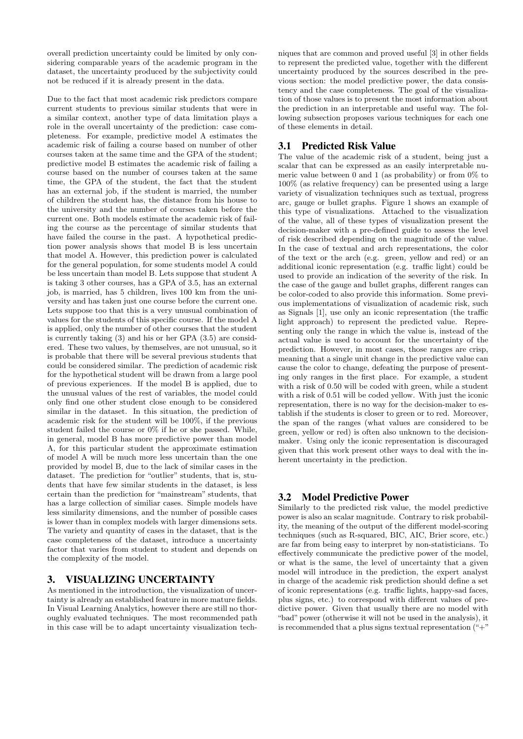overall prediction uncertainty could be limited by only considering comparable years of the academic program in the dataset, the uncertainty produced by the subjectivity could not be reduced if it is already present in the data.

Due to the fact that most academic risk predictors compare current students to previous similar students that were in a similar context, another type of data limitation plays a role in the overall uncertainty of the prediction: case completeness. For example, predictive model A estimates the academic risk of failing a course based on number of other courses taken at the same time and the GPA of the student; predictive model B estimates the academic risk of failing a course based on the number of courses taken at the same time, the GPA of the student, the fact that the student has an external job, if the student is married, the number of children the student has, the distance from his house to the university and the number of courses taken before the current one. Both models estimate the academic risk of failing the course as the percentage of similar students that have failed the course in the past. A hypothetical prediction power analysis shows that model B is less uncertain that model A. However, this prediction power is calculated for the general population, for some students model A could be less uncertain than model B. Lets suppose that student A is taking 3 other courses, has a GPA of 3.5, has an external job, is married, has 5 children, lives 100 km from the university and has taken just one course before the current one. Lets suppose too that this is a very unusual combination of values for the students of this specific course. If the model A is applied, only the number of other courses that the student is currently taking (3) and his or her GPA (3.5) are considered. These two values, by themselves, are not unusual, so it is probable that there will be several previous students that could be considered similar. The prediction of academic risk for the hypothetical student will be drawn from a large pool of previous experiences. If the model B is applied, due to the unusual values of the rest of variables, the model could only find one other student close enough to be considered similar in the dataset. In this situation, the prediction of academic risk for the student will be 100%, if the previous student failed the course or 0% if he or she passed. While, in general, model B has more predictive power than model A, for this particular student the approximate estimation of model A will be much more less uncertain than the one provided by model B, due to the lack of similar cases in the dataset. The prediction for "outlier" students, that is, students that have few similar students in the dataset, is less certain than the prediction for "mainstream" students, that has a large collection of similiar cases. Simple models have less similarity dimensions, and the number of possible cases is lower than in complex models with larger dimensions sets. The variety and quantity of cases in the dataset, that is the case completeness of the dataset, introduce a uncertainty factor that varies from student to student and depends on the complexity of the model.

# 3. VISUALIZING UNCERTAINTY

As mentioned in the introduction, the visualization of uncertainty is already an established feature in more mature fields. In Visual Learning Analytics, however there are still no thoroughly evaluated techniques. The most recommended path in this case will be to adapt uncertainty visualization tech-

niques that are common and proved useful [3] in other fields to represent the predicted value, together with the different uncertainty produced by the sources described in the previous section: the model predictive power, the data consistency and the case completeness. The goal of the visualization of those values is to present the most information about the prediction in an interpretable and useful way. The following subsection proposes various techniques for each one of these elements in detail.

# 3.1 Predicted Risk Value

The value of the academic risk of a student, being just a scalar that can be expressed as an easily interpretable numeric value between 0 and 1 (as probability) or from 0% to 100% (as relative frequency) can be presented using a large variety of visualization techniques such as textual, progress arc, gauge or bullet graphs. Figure 1 shows an example of this type of visualizations. Attached to the visualization of the value, all of these types of visualization present the decision-maker with a pre-defined guide to assess the level of risk described depending on the magnitude of the value. In the case of textual and arch representations, the color of the text or the arch (e.g. green, yellow and red) or an additional iconic representation (e.g. traffic light) could be used to provide an indication of the severity of the risk. In the case of the gauge and bullet graphs, different ranges can be color-coded to also provide this information. Some previous implementations of visualization of academic risk, such as Signals [1], use only an iconic representation (the traffic light approach) to represent the predicted value. Representing only the range in which the value is, instead of the actual value is used to account for the uncertainty of the prediction. However, in most cases, those ranges are crisp, meaning that a single unit change in the predictive value can cause the color to change, defeating the purpose of presenting only ranges in the first place. For example, a student with a risk of 0.50 will be coded with green, while a student with a risk of 0.51 will be coded yellow. With just the iconic representation, there is no way for the decision-maker to establish if the students is closer to green or to red. Moreover, the span of the ranges (what values are considered to be green, yellow or red) is often also unknown to the decisionmaker. Using only the iconic representation is discouraged given that this work present other ways to deal with the inherent uncertainty in the prediction.

# 3.2 Model Predictive Power

Similarly to the predicted risk value, the model predictive power is also an scalar magnitude. Contrary to risk probability, the meaning of the output of the different model-scoring techniques (such as R-squared, BIC, AIC, Brier score, etc.) are far from being easy to interpret by non-statisticians. To effectively communicate the predictive power of the model, or what is the same, the level of uncertainty that a given model will introduce in the prediction, the expert analyst in charge of the academic risk prediction should define a set of iconic representations (e.g. traffic lights, happy-sad faces, plus signs, etc.) to correspond with different values of predictive power. Given that usually there are no model with "bad" power (otherwise it will not be used in the analysis), it is recommended that a plus signs textual representation  $(4^{\circ}+^{\circ}$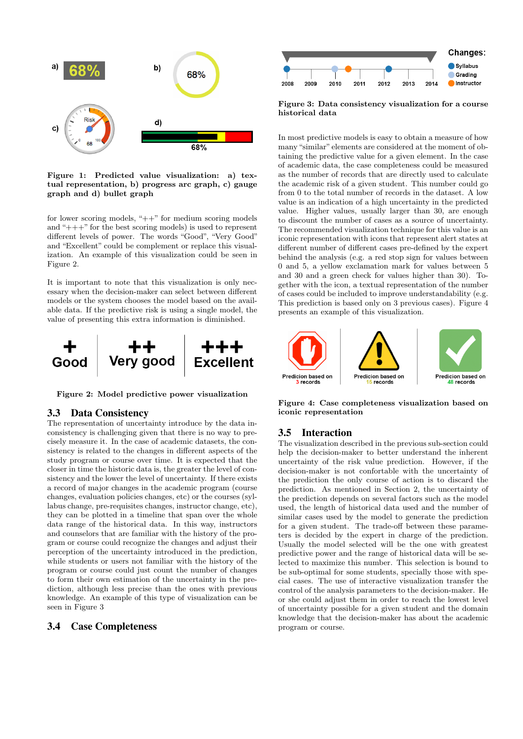

Figure 1: Predicted value visualization: a) textual representation, b) progress arc graph, c) gauge graph and d) bullet graph

for lower scoring models, " $++$ " for medium scoring models and "+++" for the best scoring models) is used to represent different levels of power. The words "Good", "Very Good" and "Excellent" could be complement or replace this visualization. An example of this visualization could be seen in Figure 2.

It is important to note that this visualization is only necessary when the decision-maker can select between different models or the system chooses the model based on the available data. If the predictive risk is using a single model, the value of presenting this extra information is diminished.



Figure 2: Model predictive power visualization

#### 3.3 Data Consistency

The representation of uncertainty introduce by the data inconsistency is challenging given that there is no way to precisely measure it. In the case of academic datasets, the consistency is related to the changes in different aspects of the study program or course over time. It is expected that the closer in time the historic data is, the greater the level of consistency and the lower the level of uncertainty. If there exists a record of major changes in the academic program (course changes, evaluation policies changes, etc) or the courses (syllabus change, pre-requisites changes, instructor change, etc), they can be plotted in a timeline that span over the whole data range of the historical data. In this way, instructors and counselors that are familiar with the history of the program or course could recognize the changes and adjust their perception of the uncertainty introduced in the prediction, while students or users not familiar with the history of the program or course could just count the number of changes to form their own estimation of the uncertainty in the prediction, although less precise than the ones with previous knowledge. An example of this type of visualization can be seen in Figure 3

### 3.4 Case Completeness



Figure 3: Data consistency visualization for a course historical data

In most predictive models is easy to obtain a measure of how many "similar" elements are considered at the moment of obtaining the predictive value for a given element. In the case of academic data, the case completeness could be measured as the number of records that are directly used to calculate the academic risk of a given student. This number could go from 0 to the total number of records in the dataset. A low value is an indication of a high uncertainty in the predicted value. Higher values, usually larger than 30, are enough to discount the number of cases as a source of uncertainty. The recommended visualization technique for this value is an iconic representation with icons that represent alert states at different number of different cases pre-defined by the expert behind the analysis (e.g. a red stop sign for values between 0 and 5, a yellow exclamation mark for values between 5 and 30 and a green check for values higher than 30). Together with the icon, a textual representation of the number of cases could be included to improve understandability (e.g. This prediction is based only on 3 previous cases). Figure 4 presents an example of this visualization.



Figure 4: Case completeness visualization based on iconic representation

### 3.5 Interaction

The visualization described in the previous sub-section could help the decision-maker to better understand the inherent uncertainty of the risk value prediction. However, if the decision-maker is not confortable with the uncertainty of the prediction the only course of action is to discard the prediction. As mentioned in Section 2, the uncertainty of the prediction depends on several factors such as the model used, the length of historical data used and the number of similar cases used by the model to generate the prediction for a given student. The trade-off between these parameters is decided by the expert in charge of the prediction. Usually the model selected will be the one with greatest predictive power and the range of historical data will be selected to maximize this number. This selection is bound to be sub-optimal for some students, specially those with special cases. The use of interactive visualization transfer the control of the analysis parameters to the decision-maker. He or she could adjust them in order to reach the lowest level of uncertainty possible for a given student and the domain knowledge that the decision-maker has about the academic program or course.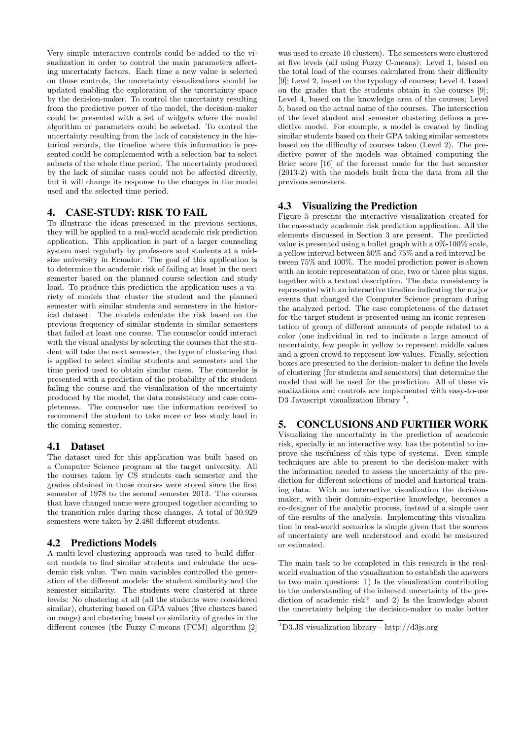Very simple interactive controls could be added to the visualization in order to control the main parameters affecting uncertainty factors. Each time a new value is selected on those controls, the uncertainty visualizations should be updated enabling the exploration of the uncertainty space by the decision-maker. To control the uncertainty resulting from the predictive power of the model, the decision-maker could be presented with a set of widgets where the model algorithm or parameters could be selected. To control the uncertainty resulting from the lack of consistency in the historical records, the timeline where this information is presented could be complemented with a selection bar to select subsets of the whole time period. The uncertainty produced by the lack of similar cases could not be affected directly, but it will change its response to the changes in the model used and the selected time period.

# 4. CASE-STUDY: RISK TO FAIL

To illustrate the ideas presented in the previous sections, they will be applied to a real-world academic risk prediction application. This application is part of a larger counseling system used regularly by professors and students at a midsize university in Ecuador. The goal of this application is to determine the academic risk of failing at least in the next semester based on the planned course selection and study load. To produce this prediction the application uses a variety of models that cluster the student and the planned semester with similar students and semesters in the historical dataset. The models calculate the risk based on the previous frequency of similar students in similar semesters that failed at least one course. The counselor could interact with the visual analysis by selecting the courses that the student will take the next semester, the type of clustering that is applied to select similar students and semesters and the time period used to obtain similar cases. The counselor is presented with a prediction of the probability of the student failing the course and the visualization of the uncertainty produced by the model, the data consistency and case completeness. The counselor use the information received to recommend the student to take more or less study load in the coming semester.

# 4.1 Dataset

The dataset used for this application was built based on a Computer Science program at the target university. All the courses taken by CS students each semester and the grades obtained in those courses were stored since the first semester of 1978 to the second semester 2013. The courses that have changed name were grouped together according to the transition rules during those changes. A total of 30.929 semesters were taken by 2.480 different students.

# 4.2 Predictions Models

A multi-level clustering approach was used to build different models to find similar students and calculate the academic risk value. Two main variables controlled the generation of the different models: the student similarity and the semester similarity. The students were clustered at three levels: No clustering at all (all the students were considered similar), clustering based on GPA values (five clusters based on range) and clustering based on similarity of grades in the different courses (the Fuzzy C-means (FCM) algorithm [2]

was used to create 10 clusters). The semesters were clustered at five levels (all using Fuzzy C-means): Level 1, based on the total load of the courses calculated from their difficulty [9]; Level 2, based on the typology of courses; Level 4, based on the grades that the students obtain in the courses [9]; Level 4, based on the knowledge area of the courses; Level 5, based on the actual name of the courses. The intersection of the level student and semester clustering defines a predictive model. For example, a model is created by finding similar students based on their GPA taking similar semesters based on the difficulty of courses taken (Level 2). The predictive power of the models was obtained computing the Brier score [16] of the forecast made for the last semester (2013-2) with the models built from the data from all the previous semesters.

# 4.3 Visualizing the Prediction

Figure 5 presents the interactive visualization created for the case-study academic risk prediction application. All the elements discussed in Section 3 are present. The predicted value is presented using a bullet graph with a 0%-100% scale, a yellow interval between 50% and 75% and a red interval between 75% and 100%. The model prediction power is shown with an iconic representation of one, two or three plus signs, together with a textual description. The data consistency is represented with an interactive timeline indicating the major events that changed the Computer Science program during the analyzed period. The case completeness of the dataset for the target student is presented using an iconic representation of group of different amounts of people related to a color (one individual in red to indicate a large amount of uncertainty, few people in yellow to represent middle values and a green crowd to represent low values. Finally, selection boxes are presented to the decision-maker to define the levels of clustering (for students and semesters) that determine the model that will be used for the prediction. All of these visualizations and controls are implemented with easy-to-use D3 Javascript visualization library<sup>1</sup>.

# 5. CONCLUSIONS AND FURTHER WORK

Visualizing the uncertainty in the prediction of academic risk, specially in an interactive way, has the potential to improve the usefulness of this type of systems. Even simple techniques are able to present to the decision-maker with the information needed to assess the uncertainty of the prediction for different selections of model and historical training data. With an interactive visualization the decisionmaker, with their domain-expertise knowledge, becomes a co-designer of the analytic process, instead of a simple user of the results of the analysis. Implementing this visualization in real-world scenarios is simple given that the sources of uncertainty are well understood and could be measured or estimated.

The main task to be completed in this research is the realworld evaluation of the visualization to establish the answers to two main questions: 1) Is the visualization contributing to the understanding of the inherent uncertainty of the prediction of academic risk? and 2) Is the knowledge about the uncertainty helping the decision-maker to make better

<sup>1</sup>D3.JS visualization library - http://d3js.org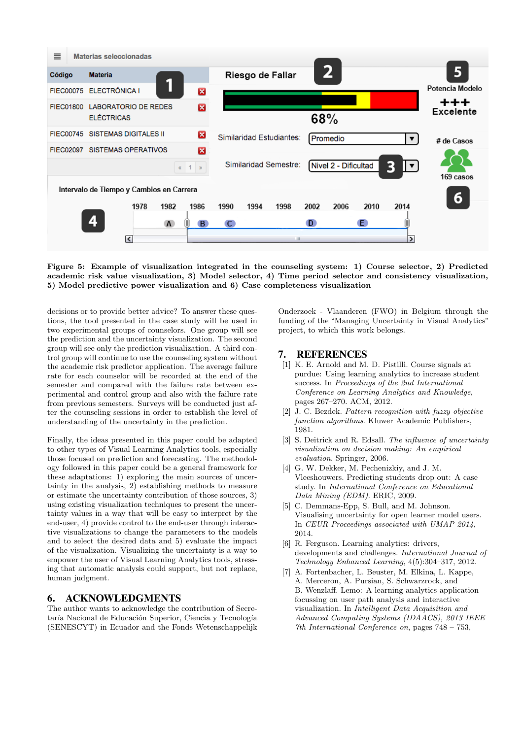

Figure 5: Example of visualization integrated in the counseling system: 1) Course selector, 2) Predicted academic risk value visualization, 3) Model selector, 4) Time period selector and consistency visualization, 5) Model predictive power visualization and 6) Case completeness visualization

decisions or to provide better advice? To answer these questions, the tool presented in the case study will be used in two experimental groups of counselors. One group will see the prediction and the uncertainty visualization. The second group will see only the prediction visualization. A third control group will continue to use the counseling system without the academic risk predictor application. The average failure rate for each counselor will be recorded at the end of the semester and compared with the failure rate between experimental and control group and also with the failure rate from previous semesters. Surveys will be conducted just after the counseling sessions in order to establish the level of understanding of the uncertainty in the prediction.

Finally, the ideas presented in this paper could be adapted to other types of Visual Learning Analytics tools, especially those focused on prediction and forecasting. The methodology followed in this paper could be a general framework for these adaptations: 1) exploring the main sources of uncertainty in the analysis, 2) establishing methods to measure or estimate the uncertainty contribution of those sources, 3) using existing visualization techniques to present the uncertainty values in a way that will be easy to interpret by the end-user, 4) provide control to the end-user through interactive visualizations to change the parameters to the models and to select the desired data and 5) evaluate the impact of the visualization. Visualizing the uncertainty is a way to empower the user of Visual Learning Analytics tools, stressing that automatic analysis could support, but not replace, human judgment.

# 6. ACKNOWLEDGMENTS

The author wants to acknowledge the contribution of Secretaría Nacional de Educación Superior, Ciencia y Tecnología (SENESCYT) in Ecuador and the Fonds Wetenschappelijk

Onderzoek - Vlaanderen (FWO) in Belgium through the funding of the "Managing Uncertainty in Visual Analytics" project, to which this work belongs.

### 7. REFERENCES

- [1] K. E. Arnold and M. D. Pistilli. Course signals at purdue: Using learning analytics to increase student success. In Proceedings of the 2nd International Conference on Learning Analytics and Knowledge, pages 267–270. ACM, 2012.
- [2] J. C. Bezdek. Pattern recognition with fuzzy objective function algorithms. Kluwer Academic Publishers, 1981.
- [3] S. Deitrick and R. Edsall. The influence of uncertainty visualization on decision making: An empirical evaluation. Springer, 2006.
- [4] G. W. Dekker, M. Pechenizkiy, and J. M. Vleeshouwers. Predicting students drop out: A case study. In International Conference on Educational Data Mining (EDM). ERIC, 2009.
- [5] C. Demmans-Epp, S. Bull, and M. Johnson. Visualising uncertainty for open learner model users. In CEUR Proceedings associated with UMAP 2014, 2014.
- [6] R. Ferguson. Learning analytics: drivers, developments and challenges. International Journal of Technology Enhanced Learning, 4(5):304–317, 2012.
- [7] A. Fortenbacher, L. Beuster, M. Elkina, L. Kappe, A. Merceron, A. Pursian, S. Schwarzrock, and B. Wenzlaff. Lemo: A learning analytics application focussing on user path analysis and interactive visualization. In Intelligent Data Acquisition and Advanced Computing Systems (IDAACS), 2013 IEEE 7th International Conference on, pages 748 – 753,